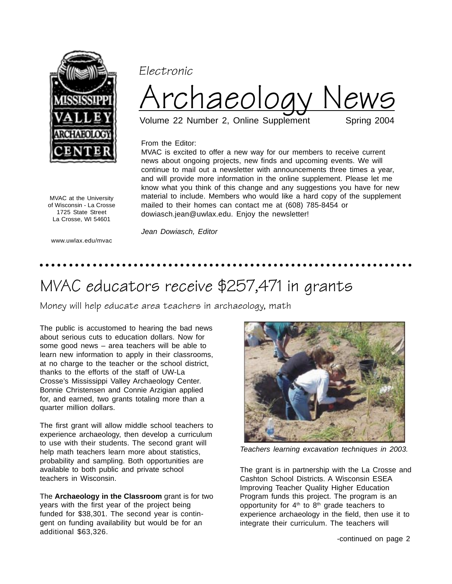

Electronic



MVAC is excited to offer a new way for our members to receive current news about ongoing projects, new finds and upcoming events. We will

Volume 22 Number 2, Online Supplement

## From the Editor:

continue to mail out a newsletter with announcements three times a year, and will provide more information in the online supplement. Please let me know what you think of this change and any suggestions you have for new material to include. Members who would like a hard copy of the supplement mailed to their homes can contact me at (608) 785-8454 or dowiasch.jean@uwlax.edu. Enjoy the newsletter!

MVAC at the University of Wisconsin - La Crosse 1725 State Street La Crosse, WI 54601

www.uwlax.edu/mvac

Jean Dowiasch, Editor

## ○○○○○○○○○ ○○○○○○○○○○○○○○○○○○○○○○○○○○○○○○○○○○○○○○○○○○○○○○○○○○○○○○○

## MVAC educators receive \$257,471 in grants

Money will help educate area teachers in archaeology, math

The public is accustomed to hearing the bad news about serious cuts to education dollars. Now for some good news – area teachers will be able to learn new information to apply in their classrooms, at no charge to the teacher or the school district, thanks to the efforts of the staff of UW-La Crosse's Mississippi Valley Archaeology Center. Bonnie Christensen and Connie Arzigian applied for, and earned, two grants totaling more than a quarter million dollars.

The first grant will allow middle school teachers to experience archaeology, then develop a curriculum to use with their students. The second grant will help math teachers learn more about statistics, probability and sampling. Both opportunities are available to both public and private school teachers in Wisconsin.

The **Archaeology in the Classroom** grant is for two years with the first year of the project being funded for \$38,301. The second year is contingent on funding availability but would be for an additional \$63,326.



Teachers learning excavation techniques in 2003.

The grant is in partnership with the La Crosse and Cashton School Districts. A Wisconsin ESEA Improving Teacher Quality Higher Education Program funds this project. The program is an opportunity for  $4<sup>th</sup>$  to  $8<sup>th</sup>$  grade teachers to experience archaeology in the field, then use it to integrate their curriculum. The teachers will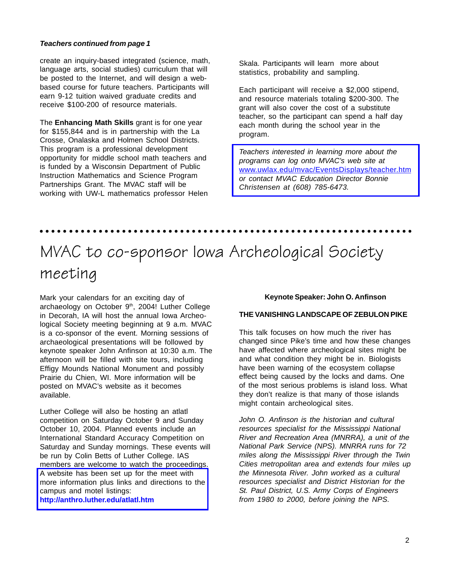### **Teachers continued from page 1**

create an inquiry-based integrated (science, math, language arts, social studies) curriculum that will be posted to the Internet, and will design a webbased course for future teachers. Participants will earn 9-12 tuition waived graduate credits and receive \$100-200 of resource materials.

The **Enhancing Math Skills** grant is for one year for \$155,844 and is in partnership with the La Crosse, Onalaska and Holmen School Districts. This program is a professional development opportunity for middle school math teachers and is funded by a Wisconsin Department of Public Instruction Mathematics and Science Program Partnerships Grant. The MVAC staff will be working with UW-L mathematics professor Helen Skala. Participants will learn more about statistics, probability and sampling.

Each participant will receive a \$2,000 stipend, and resource materials totaling \$200-300. The grant will also cover the cost of a substitute teacher, so the participant can spend a half day each month during the school year in the program.

Teachers interested in learning more about the programs can log onto MVAC's web site at [www.uwlax.edu/mvac/EventsDisplays/teacher.htm](http://www.uwlax.edu/mvac/EventsDisplays/teacher.htm) or contact MVAC Education Director Bonnie Christensen at (608) 785-6473.

# MVAC to co-sponsor Iowa Archeological Society meeting

○○○○○○○○○ ○○○○○○○○○○○○○○○○○○○○○○○○○○○○○○○○○○○○○○○○○○○○○○○○○○○○○○○

Mark your calendars for an exciting day of archaeology on October 9<sup>th</sup>, 2004! Luther College in Decorah, IA will host the annual Iowa Archeological Society meeting beginning at 9 a.m. MVAC is a co-sponsor of the event. Morning sessions of archaeological presentations will be followed by keynote speaker John Anfinson at 10:30 a.m. The afternoon will be filled with site tours, including Effigy Mounds National Monument and possibly Prairie du Chien, WI. More information will be posted on MVAC's website as it becomes available.

Luther College will also be hosting an atlatl competition on Saturday October 9 and Sunday October 10, 2004. Planned events include an International Standard Accuracy Competition on Saturday and Sunday mornings. These events will be run by Colin Betts of Luther College. IAS members are welcome to watch the proceedings. A website has been set up for the meet with [more information plus links and directions to the](http://anthro.luther.edu/atlatl.htm) campus and motel listings:

#### **http://anthro.luther.edu/atlatl.htm**

#### **Keynote Speaker: John O. Anfinson**

#### **THE VANISHING LANDSCAPE OF ZEBULON PIKE**

This talk focuses on how much the river has changed since Pike's time and how these changes have affected where archeological sites might be and what condition they might be in. Biologists have been warning of the ecosystem collapse effect being caused by the locks and dams. One of the most serious problems is island loss. What they don't realize is that many of those islands might contain archeological sites.

John O. Anfinson is the historian and cultural resources specialist for the Mississippi National River and Recreation Area (MNRRA), a unit of the National Park Service (NPS). MNRRA runs for 72 miles along the Mississippi River through the Twin Cities metropolitan area and extends four miles up the Minnesota River. John worked as a cultural resources specialist and District Historian for the St. Paul District, U.S. Army Corps of Engineers from 1980 to 2000, before joining the NPS.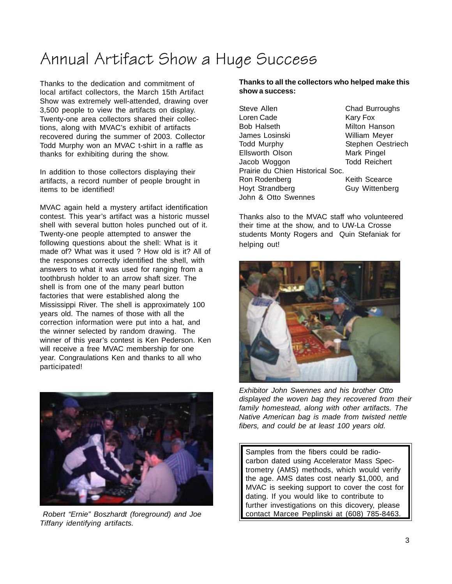## Annual Artifact Show a Huge Success

Thanks to the dedication and commitment of local artifact collectors, the March 15th Artifact Show was extremely well-attended, drawing over 3,500 people to view the artifacts on display. Twenty-one area collectors shared their collections, along with MVAC's exhibit of artifacts recovered during the summer of 2003. Collector Todd Murphy won an MVAC t-shirt in a raffle as thanks for exhibiting during the show.

In addition to those collectors displaying their artifacts, a record number of people brought in items to be identified!

MVAC again held a mystery artifact identification contest. This year's artifact was a historic mussel shell with several button holes punched out of it. Twenty-one people attempted to answer the following questions about the shell: What is it made of? What was it used ? How old is it? All of the responses correctly identified the shell, with answers to what it was used for ranging from a toothbrush holder to an arrow shaft sizer. The shell is from one of the many pearl button factories that were established along the Mississippi River. The shell is approximately 100 years old. The names of those with all the correction information were put into a hat, and the winner selected by random drawing. The winner of this year's contest is Ken Pederson. Ken will receive a free MVAC membership for one year. Congraulations Ken and thanks to all who participated!



Robert "Ernie" Boszhardt (foreground) and Joe | contact Marcee Peplinski at (608) 785-8463. Tiffany identifying artifacts.

## **Thanks to all the collectors who helped make this show a success:**

Steve Allen Chad Burroughs Loren Cade Kary Fox Bob Halseth Milton Hanson James Losinski William Meyer Todd Murphy Stephen Oestriech Ellsworth Olson Mark Pingel Jacob Woggon Todd Reichert Prairie du Chien Historical Soc. Ron Rodenberg **Keith Scearce** Hoyt Strandberg **Guy Wittenberg** John & Otto Swennes

Thanks also to the MVAC staff who volunteered their time at the show, and to UW-La Crosse students Monty Rogers and Quin Stefaniak for helping out!



Exhibitor John Swennes and his brother Otto displayed the woven bag they recovered from their family homestead, along with other artifacts. The Native American bag is made from twisted nettle fibers, and could be at least 100 years old.

Samples from the fibers could be radiocarbon dated using Accelerator Mass Spectrometry (AMS) methods, which would verify the age. AMS dates cost nearly \$1,000, and MVAC is seeking support to cover the cost for dating. If you would like to contribute to further investigations on this dicovery, please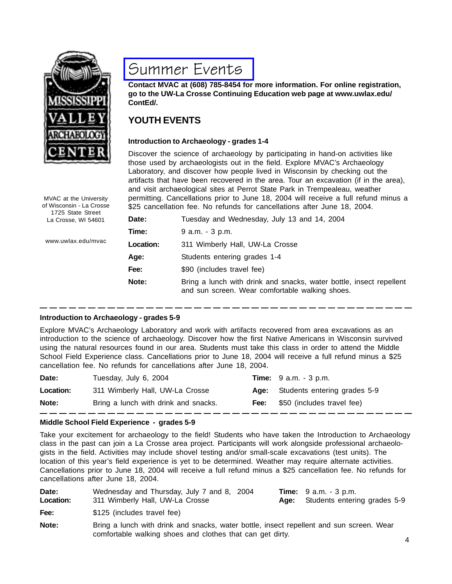

## [Summer Events](http://www.uwlax.edu/mvac/EventsDisplays/schedule.htm)

**Contact MVAC at (608) 785-8454 for more information. For online registration, go to the UW-La Crosse Continuing Education web page at www.uwlax.edu/ ContEd/.**

## **YOUTH EVENTS**

## **Introduction to Archaeology - grades 1-4**

Discover the science of archaeology by participating in hand-on activities like those used by archaeologists out in the field. Explore MVAC's Archaeology Laboratory, and discover how people lived in Wisconsin by checking out the artifacts that have been recovered in the area. Tour an excavation (if in the area), and visit archaeological sites at Perrot State Park in Trempealeau, weather permitting. Cancellations prior to June 18, 2004 will receive a full refund minus a \$25 cancellation fee. No refunds for cancellations after June 18, 2004.

| Date:            | Tuesday and Wednesday, July 13 and 14, 2004                                                                            |
|------------------|------------------------------------------------------------------------------------------------------------------------|
| Time:            | $9$ a.m. $-3$ p.m.                                                                                                     |
| <b>Location:</b> | 311 Wimberly Hall, UW-La Crosse                                                                                        |
| Age:             | Students entering grades 1-4                                                                                           |
| Fee:             | \$90 (includes travel fee)                                                                                             |
| Note:            | Bring a lunch with drink and snacks, water bottle, insect repellent<br>and sun screen. Wear comfortable walking shoes. |

### **Introduction to Archaeology - grades 5-9**

Explore MVAC's Archaeology Laboratory and work with artifacts recovered from area excavations as an introduction to the science of archaeology. Discover how the first Native Americans in Wisconsin survived using the natural resources found in our area. Students must take this class in order to attend the Middle School Field Experience class. Cancellations prior to June 18, 2004 will receive a full refund minus a \$25 cancellation fee. No refunds for cancellations after June 18, 2004.

| Date:     | Tuesday, July 6, 2004                |      | <b>Time:</b> $9 a.m. - 3 p.m.$    |
|-----------|--------------------------------------|------|-----------------------------------|
| Location: | 311 Wimberly Hall, UW-La Crosse      |      | Age: Students entering grades 5-9 |
| Note:     | Bring a lunch with drink and snacks. | Fee: | \$50 (includes travel fee)        |

## **Middle School Field Experience - grades 5-9**

Take your excitement for archaeology to the field! Students who have taken the Introduction to Archaeology class in the past can join a La Crosse area project. Participants will work alongside professional archaeologists in the field. Activities may include shovel testing and/or small-scale excavations (test units). The location of this year's field experience is yet to be determined. Weather may require alternate activities. Cancellations prior to June 18, 2004 will receive a full refund minus a \$25 cancellation fee. No refunds for cancellations after June 18, 2004.

| Date:<br>Location: | Wednesday and Thursday, July 7 and 8, 2004<br>311 Wimberly Hall, UW-La Crosse            | <b>Time:</b> $9$ a.m. $-3$ p.m.<br>Age: Students entering grades 5-9 |
|--------------------|------------------------------------------------------------------------------------------|----------------------------------------------------------------------|
| Fee:               | \$125 (includes travel fee)                                                              |                                                                      |
| Note:              | Bring a lunch with drink and snacks, water bottle, insect repellent and sun screen. Wear |                                                                      |

comfortable walking shoes and clothes that can get dirty.

MVAC at the University of Wisconsin - La Crosse 1725 State Street La Crosse, WI 54601

www.uwlax.edu/mvac